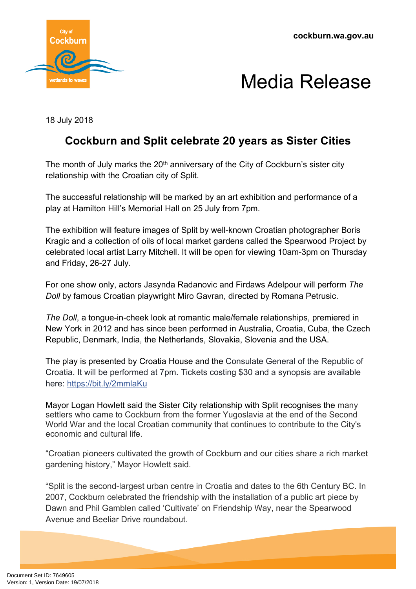

## Media Release

18 July 2018

## **Cockburn and Split celebrate 20 years as Sister Cities**

The month of July marks the  $20<sup>th</sup>$  anniversary of the City of Cockburn's sister city relationship with the Croatian city of Split.

The successful relationship will be marked by an art exhibition and performance of a play at Hamilton Hill's Memorial Hall on 25 July from 7pm.

The exhibition will feature images of Split by well-known Croatian photographer Boris Kragic and a collection of oils of local market gardens called the Spearwood Project by celebrated local artist Larry Mitchell. It will be open for viewing 10am-3pm on Thursday and Friday, 26-27 July.

For one show only, actors Jasynda Radanovic and Firdaws Adelpour will perform *The Doll* by famous Croatian playwright Miro Gavran, directed by Romana Petrusic.

*The Doll*, a tongue-in-cheek look at romantic male/female relationships, premiered in New York in 2012 and has since been performed in Australia, Croatia, Cuba, the Czech Republic, Denmark, India, the Netherlands, Slovakia, Slovenia and the USA.

The play is presented by Croatia House and the Consulate General of the Republic of Croatia. It will be performed at 7pm. Tickets costing \$30 and a synopsis are available here: <https://bit.ly/2mmlaKu>

Mayor Logan Howlett said the Sister City relationship with Split recognises the many settlers who came to Cockburn from the former Yugoslavia at the end of the Second World War and the local Croatian community that continues to contribute to the City's economic and cultural life.

"Croatian pioneers cultivated the growth of Cockburn and our cities share a rich market gardening history," Mayor Howlett said.

"Split is the second-largest urban centre in Croatia and dates to the 6th Century BC. In 2007, Cockburn celebrated the friendship with the installation of a public art piece by Dawn and Phil Gamblen called 'Cultivate' on Friendship Way, near the Spearwood Avenue and Beeliar Drive roundabout.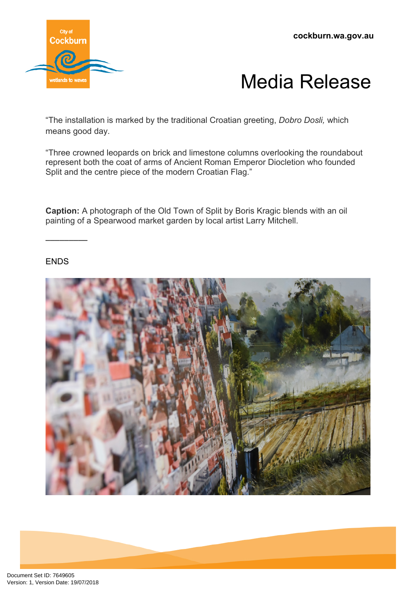



"The installation is marked by the traditional Croatian greeting, *Dobro Dosli,* which means good day.

"Three crowned leopards on brick and limestone columns overlooking the roundabout represent both the coat of arms of Ancient Roman Emperor Diocletion who founded Split and the centre piece of the modern Croatian Flag."

**Caption:** A photograph of the Old Town of Split by Boris Kragic blends with an oil painting of a Spearwood market garden by local artist Larry Mitchell.

ENDS

–––––––––